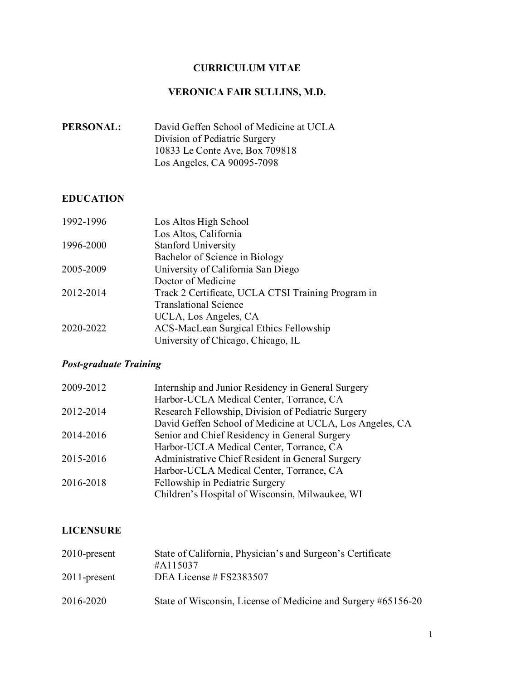# **CURRICULUM VITAE**

# **VERONICA FAIR SULLINS, M.D.**

| <b>PERSONAL:</b> | David Geffen School of Medicine at UCLA |
|------------------|-----------------------------------------|
|                  | Division of Pediatric Surgery           |
|                  | 10833 Le Conte Ave, Box 709818          |
|                  | Los Angeles, CA 90095-7098              |

## **EDUCATION**

| 1992-1996 | Los Altos High School                              |
|-----------|----------------------------------------------------|
|           | Los Altos, California                              |
| 1996-2000 | <b>Stanford University</b>                         |
|           | Bachelor of Science in Biology                     |
| 2005-2009 | University of California San Diego                 |
|           | Doctor of Medicine                                 |
| 2012-2014 | Track 2 Certificate, UCLA CTSI Training Program in |
|           | <b>Translational Science</b>                       |
|           | UCLA, Los Angeles, CA                              |
| 2020-2022 | ACS-MacLean Surgical Ethics Fellowship             |
|           | University of Chicago, Chicago, IL                 |

# *Post-graduate Training*

| 2009-2012 | Internship and Junior Residency in General Surgery       |
|-----------|----------------------------------------------------------|
|           | Harbor-UCLA Medical Center, Torrance, CA                 |
| 2012-2014 | Research Fellowship, Division of Pediatric Surgery       |
|           | David Geffen School of Medicine at UCLA, Los Angeles, CA |
| 2014-2016 | Senior and Chief Residency in General Surgery            |
|           | Harbor-UCLA Medical Center, Torrance, CA                 |
| 2015-2016 | Administrative Chief Resident in General Surgery         |
|           | Harbor-UCLA Medical Center, Torrance, CA                 |
| 2016-2018 | Fellowship in Pediatric Surgery                          |
|           | Children's Hospital of Wisconsin, Milwaukee, WI          |

## **LICENSURE**

| $2010$ -present | State of California, Physician's and Surgeon's Certificate<br>#A115037 |
|-----------------|------------------------------------------------------------------------|
| $2011$ -present | DEA License # FS2383507                                                |
| 2016-2020       | State of Wisconsin, License of Medicine and Surgery #65156-20          |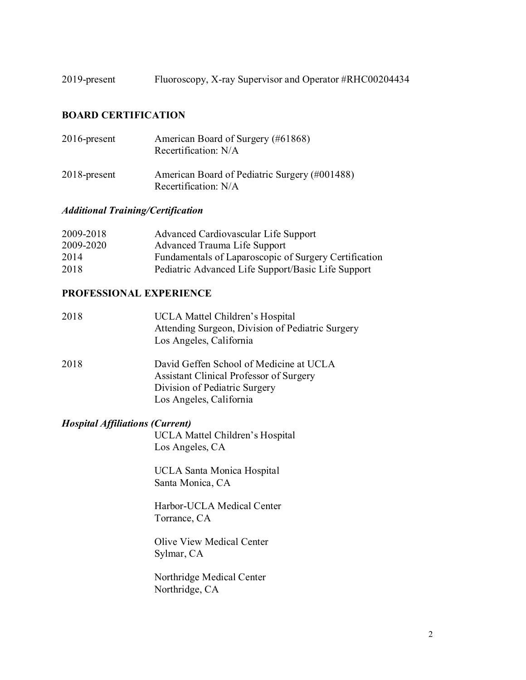2019-present Fluoroscopy, X-ray Supervisor and Operator #RHC00204434

## **BOARD CERTIFICATION**

| $2016$ -present | American Board of Surgery (#61868)<br>Recertification: N/A            |
|-----------------|-----------------------------------------------------------------------|
| $2018$ -present | American Board of Pediatric Surgery (#001488)<br>Recertification: N/A |

# *Additional Training/Certification*

| 2009-2018 | Advanced Cardiovascular Life Support                  |
|-----------|-------------------------------------------------------|
| 2009-2020 | Advanced Trauma Life Support                          |
| 2014      | Fundamentals of Laparoscopic of Surgery Certification |
| 2018      | Pediatric Advanced Life Support/Basic Life Support    |

### **PROFESSIONAL EXPERIENCE**

| 2018 | UCLA Mattel Children's Hospital<br>Attending Surgeon, Division of Pediatric Surgery                                                            |
|------|------------------------------------------------------------------------------------------------------------------------------------------------|
|      | Los Angeles, California                                                                                                                        |
| 2018 | David Geffen School of Medicine at UCLA<br>Assistant Clinical Professor of Surgery<br>Division of Pediatric Surgery<br>Los Angeles, California |
|      | <b>Hospital Affiliations (Current)</b>                                                                                                         |
|      | UCLA Mattel Children's Hospital                                                                                                                |

Los Angeles, CA

UCLA Santa Monica Hospital Santa Monica, CA

Harbor-UCLA Medical Center Torrance, CA

Olive View Medical Center Sylmar, CA

Northridge Medical Center Northridge, CA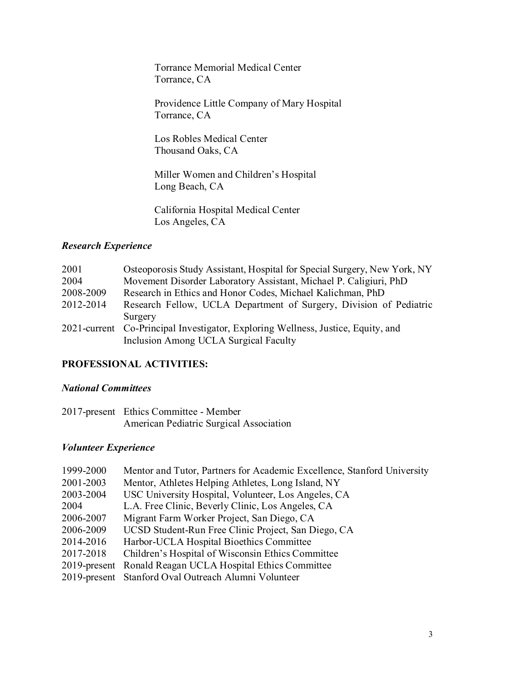Torrance Memorial Medical Center Torrance, CA

Providence Little Company of Mary Hospital Torrance, CA

Los Robles Medical Center Thousand Oaks, CA

Miller Women and Children's Hospital Long Beach, CA

California Hospital Medical Center Los Angeles, CA

#### *Research Experience*

| 2001      | Osteoporosis Study Assistant, Hospital for Special Surgery, New York, NY         |
|-----------|----------------------------------------------------------------------------------|
| 2004      | Movement Disorder Laboratory Assistant, Michael P. Caligiuri, PhD                |
| 2008-2009 | Research in Ethics and Honor Codes, Michael Kalichman, PhD                       |
| 2012-2014 | Research Fellow, UCLA Department of Surgery, Division of Pediatric               |
|           | Surgery                                                                          |
|           | 2021-current Co-Principal Investigator, Exploring Wellness, Justice, Equity, and |
|           | Inclusion Among UCLA Surgical Faculty                                            |

## **PROFESSIONAL ACTIVITIES:**

## *National Committees*

| 2017-present Ethics Committee - Member  |
|-----------------------------------------|
| American Pediatric Surgical Association |

### *Volunteer Experience*

| 1999-2000 | Mentor and Tutor, Partners for Academic Excellence, Stanford University |
|-----------|-------------------------------------------------------------------------|
| 2001-2003 | Mentor, Athletes Helping Athletes, Long Island, NY                      |
| 2003-2004 | USC University Hospital, Volunteer, Los Angeles, CA                     |
| 2004      | L.A. Free Clinic, Beverly Clinic, Los Angeles, CA                       |
| 2006-2007 | Migrant Farm Worker Project, San Diego, CA                              |
| 2006-2009 | UCSD Student-Run Free Clinic Project, San Diego, CA                     |
| 2014-2016 | Harbor-UCLA Hospital Bioethics Committee                                |
| 2017-2018 | Children's Hospital of Wisconsin Ethics Committee                       |
|           | 2019-present Ronald Reagan UCLA Hospital Ethics Committee               |
|           | 2019-present Stanford Oval Outreach Alumni Volunteer                    |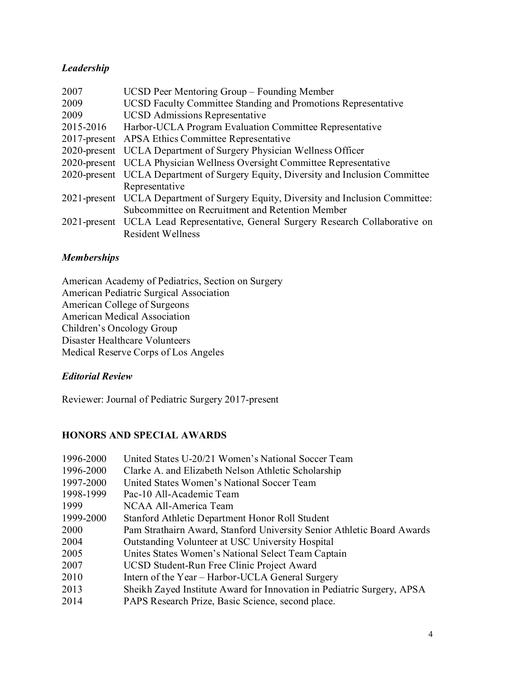## *Leadership*

| 2007      | UCSD Peer Mentoring Group – Founding Member                                        |
|-----------|------------------------------------------------------------------------------------|
| 2009      | UCSD Faculty Committee Standing and Promotions Representative                      |
| 2009      | <b>UCSD</b> Admissions Representative                                              |
| 2015-2016 | Harbor-UCLA Program Evaluation Committee Representative                            |
|           | 2017-present APSA Ethics Committee Representative                                  |
|           | 2020-present UCLA Department of Surgery Physician Wellness Officer                 |
|           | 2020-present UCLA Physician Wellness Oversight Committee Representative            |
|           | 2020-present UCLA Department of Surgery Equity, Diversity and Inclusion Committee  |
|           | Representative                                                                     |
|           | 2021-present UCLA Department of Surgery Equity, Diversity and Inclusion Committee: |
|           | Subcommittee on Recruitment and Retention Member                                   |
|           | 2021-present UCLA Lead Representative, General Surgery Research Collaborative on   |
|           | <b>Resident Wellness</b>                                                           |

## *Memberships*

American Academy of Pediatrics, Section on Surgery American Pediatric Surgical Association American College of Surgeons American Medical Association Children's Oncology Group Disaster Healthcare Volunteers Medical Reserve Corps of Los Angeles

#### *Editorial Review*

Reviewer: Journal of Pediatric Surgery 2017-present

## **HONORS AND SPECIAL AWARDS**

| 1996-2000 | United States U-20/21 Women's National Soccer Team                     |
|-----------|------------------------------------------------------------------------|
| 1996-2000 | Clarke A. and Elizabeth Nelson Athletic Scholarship                    |
| 1997-2000 | United States Women's National Soccer Team                             |
| 1998-1999 | Pac-10 All-Academic Team                                               |
| 1999      | NCAA All-America Team                                                  |
| 1999-2000 | Stanford Athletic Department Honor Roll Student                        |
| 2000      | Pam Strathairn Award, Stanford University Senior Athletic Board Awards |
| 2004      | Outstanding Volunteer at USC University Hospital                       |
| 2005      | Unites States Women's National Select Team Captain                     |
| 2007      | UCSD Student-Run Free Clinic Project Award                             |
| 2010      | Intern of the Year – Harbor-UCLA General Surgery                       |
| 2013      | Sheikh Zayed Institute Award for Innovation in Pediatric Surgery, APSA |
| 2014      | PAPS Research Prize, Basic Science, second place.                      |
|           |                                                                        |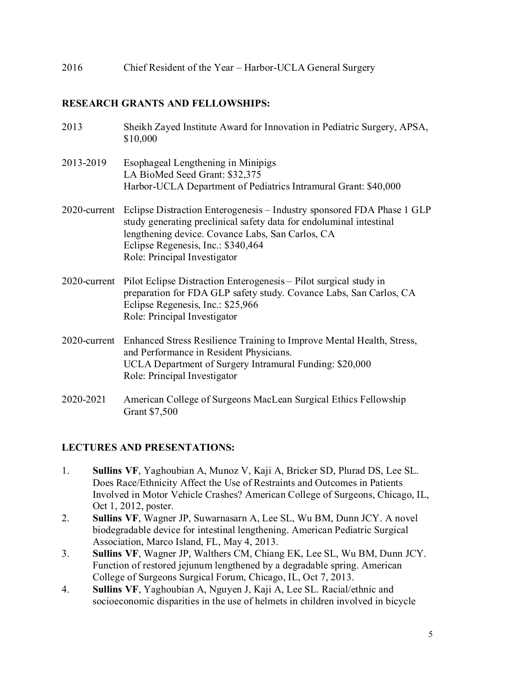2016 Chief Resident of the Year – Harbor-UCLA General Surgery

### **RESEARCH GRANTS AND FELLOWSHIPS:**

| 2013         | Sheikh Zayed Institute Award for Innovation in Pediatric Surgery, APSA,<br>\$10,000                                                                                                                                                                                     |
|--------------|-------------------------------------------------------------------------------------------------------------------------------------------------------------------------------------------------------------------------------------------------------------------------|
| 2013-2019    | Esophageal Lengthening in Minipigs<br>LA BioMed Seed Grant: \$32,375<br>Harbor-UCLA Department of Pediatrics Intramural Grant: \$40,000                                                                                                                                 |
| 2020-current | Eclipse Distraction Enterogenesis – Industry sponsored FDA Phase 1 GLP<br>study generating preclinical safety data for endoluminal intestinal<br>lengthening device. Covance Labs, San Carlos, CA<br>Eclipse Regenesis, Inc.: \$340,464<br>Role: Principal Investigator |
| 2020-current | Pilot Eclipse Distraction Enterogenesis – Pilot surgical study in<br>preparation for FDA GLP safety study. Covance Labs, San Carlos, CA<br>Eclipse Regenesis, Inc.: \$25,966<br>Role: Principal Investigator                                                            |
|              | 2020-current Enhanced Stress Resilience Training to Improve Mental Health, Stress,<br>and Performance in Resident Physicians.<br>UCLA Department of Surgery Intramural Funding: \$20,000<br>Role: Principal Investigator                                                |
| 2020-2021    | American College of Surgeons MacLean Surgical Ethics Fellowship<br>Grant \$7,500                                                                                                                                                                                        |

#### **LECTURES AND PRESENTATIONS:**

- 1. **Sullins VF**, Yaghoubian A, Munoz V, Kaji A, Bricker SD, Plurad DS, Lee SL. Does Race/Ethnicity Affect the Use of Restraints and Outcomes in Patients Involved in Motor Vehicle Crashes? American College of Surgeons, Chicago, IL, Oct 1, 2012, poster.
- 2. **Sullins VF**, Wagner JP, Suwarnasarn A, Lee SL, Wu BM, Dunn JCY. A novel biodegradable device for intestinal lengthening. American Pediatric Surgical Association, Marco Island, FL, May 4, 2013.
- 3. **Sullins VF**, Wagner JP, Walthers CM, Chiang EK, Lee SL, Wu BM, Dunn JCY. Function of restored jejunum lengthened by a degradable spring. American College of Surgeons Surgical Forum, Chicago, IL, Oct 7, 2013.
- 4. **Sullins VF**, Yaghoubian A, Nguyen J, Kaji A, Lee SL. Racial/ethnic and socioeconomic disparities in the use of helmets in children involved in bicycle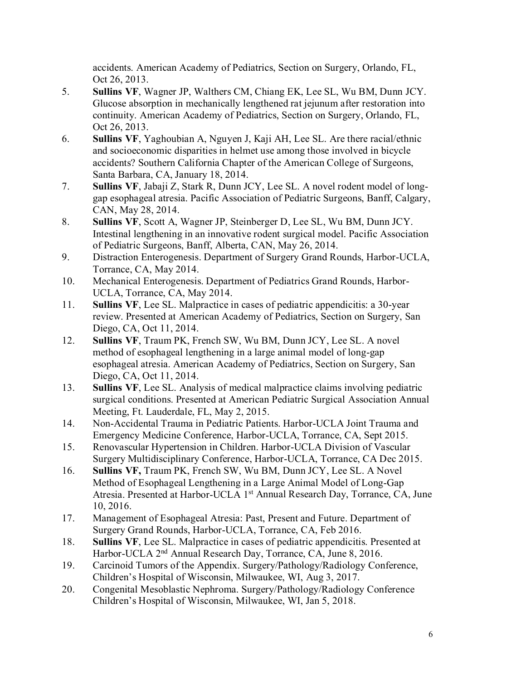accidents. American Academy of Pediatrics, Section on Surgery, Orlando, FL, Oct 26, 2013.

- 5. **Sullins VF**, Wagner JP, Walthers CM, Chiang EK, Lee SL, Wu BM, Dunn JCY. Glucose absorption in mechanically lengthened rat jejunum after restoration into continuity. American Academy of Pediatrics, Section on Surgery, Orlando, FL, Oct 26, 2013.
- 6. **Sullins VF**, Yaghoubian A, Nguyen J, Kaji AH, Lee SL. Are there racial/ethnic and socioeconomic disparities in helmet use among those involved in bicycle accidents? Southern California Chapter of the American College of Surgeons, Santa Barbara, CA, January 18, 2014.
- 7. **Sullins VF**, Jabaji Z, Stark R, Dunn JCY, Lee SL. A novel rodent model of longgap esophageal atresia. Pacific Association of Pediatric Surgeons, Banff, Calgary, CAN, May 28, 2014.
- 8. **Sullins VF**, Scott A, Wagner JP, Steinberger D, Lee SL, Wu BM, Dunn JCY. Intestinal lengthening in an innovative rodent surgical model. Pacific Association of Pediatric Surgeons, Banff, Alberta, CAN, May 26, 2014.
- 9. Distraction Enterogenesis. Department of Surgery Grand Rounds, Harbor-UCLA, Torrance, CA, May 2014.
- 10. Mechanical Enterogenesis. Department of Pediatrics Grand Rounds, Harbor-UCLA, Torrance, CA, May 2014.
- 11. **Sullins VF**, Lee SL. Malpractice in cases of pediatric appendicitis: a 30-year review. Presented at American Academy of Pediatrics, Section on Surgery, San Diego, CA, Oct 11, 2014.
- 12. **Sullins VF**, Traum PK, French SW, Wu BM, Dunn JCY, Lee SL. A novel method of esophageal lengthening in a large animal model of long-gap esophageal atresia. American Academy of Pediatrics, Section on Surgery, San Diego, CA, Oct 11, 2014.
- 13. **Sullins VF**, Lee SL. Analysis of medical malpractice claims involving pediatric surgical conditions. Presented at American Pediatric Surgical Association Annual Meeting, Ft. Lauderdale, FL, May 2, 2015.
- 14. Non-Accidental Trauma in Pediatric Patients. Harbor-UCLA Joint Trauma and Emergency Medicine Conference, Harbor-UCLA, Torrance, CA, Sept 2015.
- 15. Renovascular Hypertension in Children. Harbor-UCLA Division of Vascular Surgery Multidisciplinary Conference, Harbor-UCLA, Torrance, CA Dec 2015.
- 16. **Sullins VF,** Traum PK, French SW, Wu BM, Dunn JCY, Lee SL. A Novel Method of Esophageal Lengthening in a Large Animal Model of Long-Gap Atresia. Presented at Harbor-UCLA 1<sup>st</sup> Annual Research Day, Torrance, CA, June 10, 2016.
- 17. Management of Esophageal Atresia: Past, Present and Future. Department of Surgery Grand Rounds, Harbor-UCLA, Torrance, CA, Feb 2016.
- 18. **Sullins VF**, Lee SL. Malpractice in cases of pediatric appendicitis. Presented at Harbor-UCLA 2<sup>nd</sup> Annual Research Day, Torrance, CA, June 8, 2016.
- 19. Carcinoid Tumors of the Appendix. Surgery/Pathology/Radiology Conference, Children's Hospital of Wisconsin, Milwaukee, WI, Aug 3, 2017.
- 20. Congenital Mesoblastic Nephroma. Surgery/Pathology/Radiology Conference Children's Hospital of Wisconsin, Milwaukee, WI, Jan 5, 2018.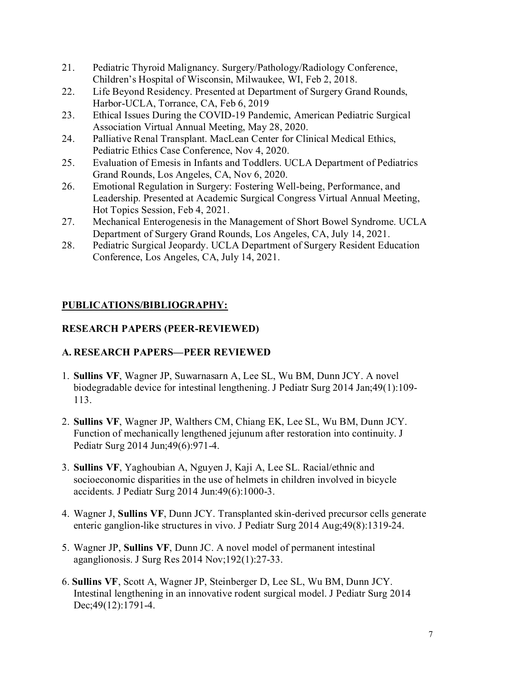- 21. Pediatric Thyroid Malignancy. Surgery/Pathology/Radiology Conference, Children's Hospital of Wisconsin, Milwaukee, WI, Feb 2, 2018.
- 22. Life Beyond Residency. Presented at Department of Surgery Grand Rounds, Harbor-UCLA, Torrance, CA, Feb 6, 2019
- 23. Ethical Issues During the COVID-19 Pandemic, American Pediatric Surgical Association Virtual Annual Meeting, May 28, 2020.
- 24. Palliative Renal Transplant. MacLean Center for Clinical Medical Ethics, Pediatric Ethics Case Conference, Nov 4, 2020.
- 25. Evaluation of Emesis in Infants and Toddlers. UCLA Department of Pediatrics Grand Rounds, Los Angeles, CA, Nov 6, 2020.
- 26. Emotional Regulation in Surgery: Fostering Well-being, Performance, and Leadership. Presented at Academic Surgical Congress Virtual Annual Meeting, Hot Topics Session, Feb 4, 2021.
- 27. Mechanical Enterogenesis in the Management of Short Bowel Syndrome. UCLA Department of Surgery Grand Rounds, Los Angeles, CA, July 14, 2021.
- 28. Pediatric Surgical Jeopardy. UCLA Department of Surgery Resident Education Conference, Los Angeles, CA, July 14, 2021.

# **PUBLICATIONS/BIBLIOGRAPHY:**

# **RESEARCH PAPERS (PEER-REVIEWED)**

# **A. RESEARCH PAPERS—PEER REVIEWED**

- 1. **Sullins VF**, Wagner JP, Suwarnasarn A, Lee SL, Wu BM, Dunn JCY. A novel biodegradable device for intestinal lengthening. J Pediatr Surg 2014 Jan;49(1):109- 113.
- 2. **Sullins VF**, Wagner JP, Walthers CM, Chiang EK, Lee SL, Wu BM, Dunn JCY. Function of mechanically lengthened jejunum after restoration into continuity. J Pediatr Surg 2014 Jun;49(6):971-4.
- 3. **Sullins VF**, Yaghoubian A, Nguyen J, Kaji A, Lee SL. Racial/ethnic and socioeconomic disparities in the use of helmets in children involved in bicycle accidents. J Pediatr Surg 2014 Jun:49(6):1000-3.
- 4. Wagner J, **Sullins VF**, Dunn JCY. Transplanted skin-derived precursor cells generate enteric ganglion-like structures in vivo. J Pediatr Surg 2014 Aug;49(8):1319-24.
- 5. Wagner JP, **Sullins VF**, Dunn JC. A novel model of permanent intestinal aganglionosis. J Surg Res 2014 Nov;192(1):27-33.
- 6. **Sullins VF**, Scott A, Wagner JP, Steinberger D, Lee SL, Wu BM, Dunn JCY. Intestinal lengthening in an innovative rodent surgical model. J Pediatr Surg 2014 Dec; 49(12): 1791-4.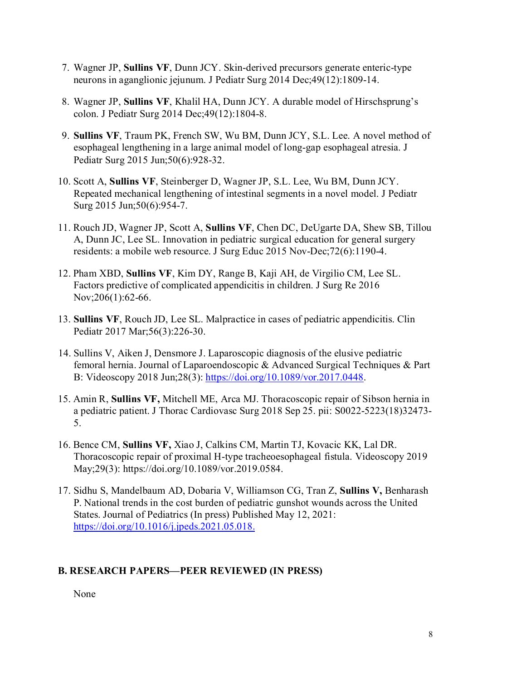- 7. Wagner JP, **Sullins VF**, Dunn JCY. Skin-derived precursors generate enteric-type neurons in aganglionic jejunum. J Pediatr Surg 2014 Dec;49(12):1809-14.
- 8. Wagner JP, **Sullins VF**, Khalil HA, Dunn JCY. A durable model of Hirschsprung's colon. J Pediatr Surg 2014 Dec;49(12):1804-8.
- 9. **Sullins VF**, Traum PK, French SW, Wu BM, Dunn JCY, S.L. Lee. A novel method of esophageal lengthening in a large animal model of long-gap esophageal atresia. J Pediatr Surg 2015 Jun;50(6):928-32.
- 10. Scott A, **Sullins VF**, Steinberger D, Wagner JP, S.L. Lee, Wu BM, Dunn JCY. Repeated mechanical lengthening of intestinal segments in a novel model. J Pediatr Surg 2015 Jun;50(6):954-7.
- 11. Rouch JD, Wagner JP, Scott A, **Sullins VF**, Chen DC, DeUgarte DA, Shew SB, Tillou A, Dunn JC, Lee SL. Innovation in pediatric surgical education for general surgery residents: a mobile web resource. J Surg Educ 2015 Nov-Dec;72(6):1190-4.
- 12. Pham XBD, **Sullins VF**, Kim DY, Range B, Kaji AH, de Virgilio CM, Lee SL. Factors predictive of complicated appendicitis in children. J Surg Re 2016 Nov;206(1):62-66.
- 13. **Sullins VF**, Rouch JD, Lee SL. Malpractice in cases of pediatric appendicitis. Clin Pediatr 2017 Mar;56(3):226-30.
- 14. Sullins V, Aiken J, Densmore J. Laparoscopic diagnosis of the elusive pediatric femoral hernia. Journal of Laparoendoscopic & Advanced Surgical Techniques & Part B: Videoscopy 2018 Jun;28(3): [https://doi.org/10.1089/vor.2017.0448.](https://doi.org/10.1089/vor.2017.0448)
- 15. Amin R, **Sullins VF,** Mitchell ME, Arca MJ. Thoracoscopic repair of Sibson hernia in a pediatric patient. J Thorac Cardiovasc Surg 2018 Sep 25. pii: S0022-5223(18)32473- 5.
- 16. Bence CM, **Sullins VF,** Xiao J, Calkins CM, Martin TJ, Kovacic KK, Lal DR. Thoracoscopic repair of proximal H-type tracheoesophageal fistula. Videoscopy 2019 May;29(3): [https://doi.org/10.1089/vor.2019.0584.](https://doi.org/10.1089/vor.2019.0584)
- 17. Sidhu S, Mandelbaum AD, Dobaria V, Williamson CG, Tran Z, **Sullins V,** Benharash P. National trends in the cost burden of pediatric gunshot wounds across the United States. Journal of Pediatrics (In press) Published May 12, 2021: [https://doi.org/10.1016/j.jpeds.2021.05.018.](https://doi.org/10.1016/j.jpeds.2021.05.018)

## **B. RESEARCH PAPERS—PEER REVIEWED (IN PRESS)**

None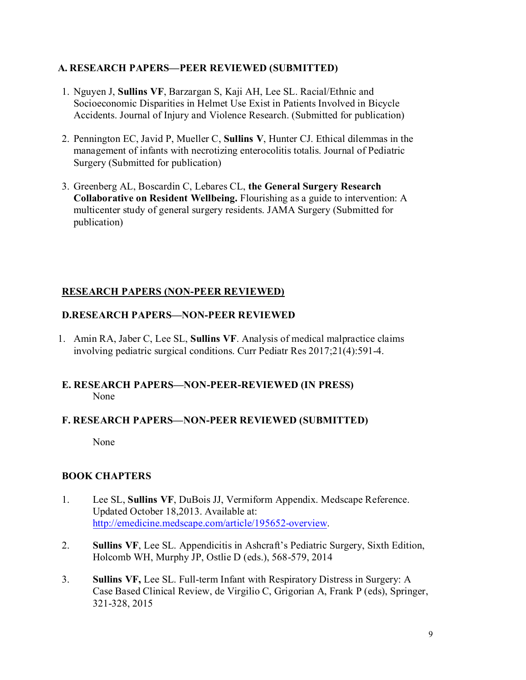### **A. RESEARCH PAPERS—PEER REVIEWED (SUBMITTED)**

- 1. Nguyen J, **Sullins VF**, Barzargan S, Kaji AH, Lee SL. Racial/Ethnic and Socioeconomic Disparities in Helmet Use Exist in Patients Involved in Bicycle Accidents. Journal of Injury and Violence Research. (Submitted for publication)
- 2. Pennington EC, Javid P, Mueller C, **Sullins V**, Hunter CJ. Ethical dilemmas in the management of infants with necrotizing enterocolitis totalis. Journal of Pediatric Surgery (Submitted for publication)
- 3. Greenberg AL, Boscardin C, Lebares CL, **the General Surgery Research Collaborative on Resident Wellbeing.** Flourishing as a guide to intervention: A multicenter study of general surgery residents. JAMA Surgery (Submitted for publication)

## **RESEARCH PAPERS (NON-PEER REVIEWED)**

## **D.RESEARCH PAPERS—NON-PEER REVIEWED**

1. Amin RA, Jaber C, Lee SL, **Sullins VF**. Analysis of medical malpractice claims involving pediatric surgical conditions. Curr Pediatr Res 2017;21(4):591-4.

## **E. RESEARCH PAPERS—NON-PEER-REVIEWED (IN PRESS)** None

## **F. RESEARCH PAPERS—NON-PEER REVIEWED (SUBMITTED)**

None

## **BOOK CHAPTERS**

- 1. Lee SL, **Sullins VF**, DuBois JJ, Vermiform Appendix. Medscape Reference. Updated October 18,2013. Available at: [http://emedicine.medscape.com/article/195652-overview.](http://emedicine.medscape.com/article/195652-overview)
- 2. **Sullins VF**, Lee SL. Appendicitis in Ashcraft's Pediatric Surgery, Sixth Edition, Holcomb WH, Murphy JP, Ostlie D (eds.), 568-579, 2014
- 3. **Sullins VF,** Lee SL. Full-term Infant with Respiratory Distress in Surgery: A Case Based Clinical Review, de Virgilio C, Grigorian A, Frank P (eds), Springer, 321-328, 2015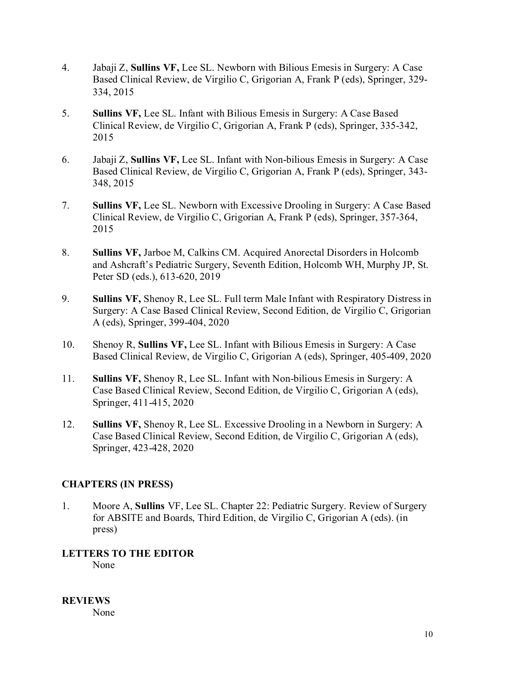- 4. Jabaji Z, **Sullins VF,** Lee SL. Newborn with Bilious Emesis in Surgery: A Case Based Clinical Review, de Virgilio C, Grigorian A, Frank P (eds), Springer, 329- 334, 2015
- 5. **Sullins VF,** Lee SL. Infant with Bilious Emesis in Surgery: A Case Based Clinical Review, de Virgilio C, Grigorian A, Frank P (eds), Springer, 335-342, 2015
- 6. Jabaji Z, **Sullins VF,** Lee SL. Infant with Non-bilious Emesis in Surgery: A Case Based Clinical Review, de Virgilio C, Grigorian A, Frank P (eds), Springer, 343- 348, 2015
- 7. **Sullins VF,** Lee SL. Newborn with Excessive Drooling in Surgery: A Case Based Clinical Review, de Virgilio C, Grigorian A, Frank P (eds), Springer, 357-364, 2015
- 8. **Sullins VF,** Jarboe M, Calkins CM. Acquired Anorectal Disorders in Holcomb and Ashcraft's Pediatric Surgery, Seventh Edition, Holcomb WH, Murphy JP, St. Peter SD (eds.), 613-620, 2019
- 9. **Sullins VF,** Shenoy R, Lee SL. Full term Male Infant with Respiratory Distress in Surgery: A Case Based Clinical Review, Second Edition, de Virgilio C, Grigorian A (eds), Springer, 399-404, 2020
- 10. Shenoy R, **Sullins VF,** Lee SL. Infant with Bilious Emesis in Surgery: A Case Based Clinical Review, de Virgilio C, Grigorian A (eds), Springer, 405-409, 2020
- 11. **Sullins VF,** Shenoy R, Lee SL. Infant with Non-bilious Emesis in Surgery: A Case Based Clinical Review, Second Edition, de Virgilio C, Grigorian A (eds), Springer, 411-415, 2020
- 12. **Sullins VF,** Shenoy R, Lee SL. Excessive Drooling in a Newborn in Surgery: A Case Based Clinical Review, Second Edition, de Virgilio C, Grigorian A (eds), Springer, 423-428, 2020

## **CHAPTERS (IN PRESS)**

1. Moore A, **Sullins** VF, Lee SL. Chapter 22: Pediatric Surgery. Review of Surgery for ABSITE and Boards, Third Edition, de Virgilio C, Grigorian A (eds). (in press)

## **LETTERS TO THE EDITOR**

None

**REVIEWS** None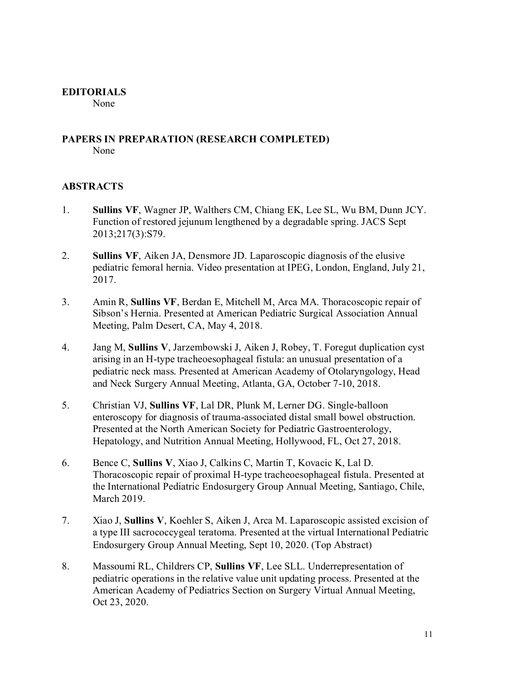### **EDITORIALS**

None

#### **PAPERS IN PREPARATION (RESEARCH COMPLETED)** None

### **ABSTRACTS**

- 1. **Sullins VF**, Wagner JP, Walthers CM, Chiang EK, Lee SL, Wu BM, Dunn JCY. Function of restored jejunum lengthened by a degradable spring. JACS Sept 2013;217(3):S79.
- 2. **Sullins VF**, Aiken JA, Densmore JD. Laparoscopic diagnosis of the elusive pediatric femoral hernia. Video presentation at IPEG, London, England, July 21, 2017.
- 3. Amin R, **Sullins VF**, Berdan E, Mitchell M, Arca MA. Thoracoscopic repair of Sibson's Hernia. Presented at American Pediatric Surgical Association Annual Meeting, Palm Desert, CA, May 4, 2018.
- 4. Jang M, **Sullins V**, Jarzembowski J, Aiken J, Robey, T. Foregut duplication cyst arising in an H-type tracheoesophageal fistula: an unusual presentation of a pediatric neck mass. Presented at American Academy of Otolaryngology, Head and Neck Surgery Annual Meeting, Atlanta, GA, October 7-10, 2018.
- 5. Christian VJ, **Sullins VF**, Lal DR, Plunk M, Lerner DG. Single-balloon enteroscopy for diagnosis of trauma-associated distal small bowel obstruction. Presented at the North American Society for Pediatric Gastroenterology, Hepatology, and Nutrition Annual Meeting, Hollywood, FL, Oct 27, 2018.
- 6. Bence C, **Sullins V**, Xiao J, Calkins C, Martin T, Kovacic K, Lal D. Thoracoscopic repair of proximal H-type tracheoesophageal fistula. Presented at the International Pediatric Endosurgery Group Annual Meeting, Santiago, Chile, March 2019.
- 7. Xiao J, **Sullins V**, Koehler S, Aiken J, Arca M. Laparoscopic assisted excision of a type III sacrococcygeal teratoma. Presented at the virtual International Pediatric Endosurgery Group Annual Meeting, Sept 10, 2020. (Top Abstract)
- 8. Massoumi RL, Childrers CP, **Sullins VF**, Lee SLL. Underrepresentation of pediatric operations in the relative value unit updating process. Presented at the American Academy of Pediatrics Section on Surgery Virtual Annual Meeting, Oct 23, 2020.